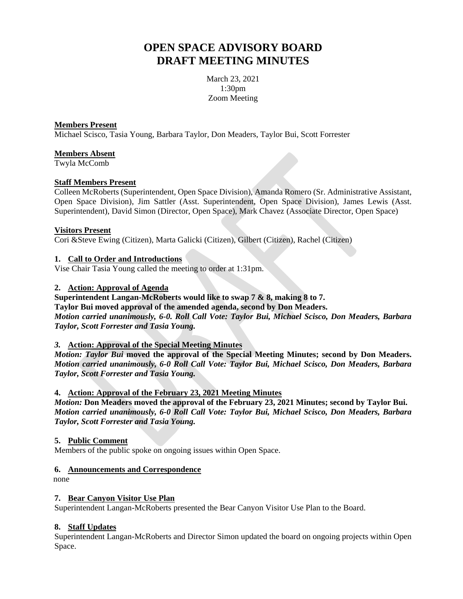# **OPEN SPACE ADVISORY BOARD DRAFT MEETING MINUTES**

March 23, 2021 1:30pm Zoom Meeting

#### **Members Present**

Michael Scisco, Tasia Young, Barbara Taylor, Don Meaders, Taylor Bui, Scott Forrester

# **Members Absent**

Twyla McComb

#### **Staff Members Present**

Colleen McRoberts (Superintendent, Open Space Division), Amanda Romero (Sr. Administrative Assistant, Open Space Division), Jim Sattler (Asst. Superintendent, Open Space Division), James Lewis (Asst. Superintendent), David Simon (Director, Open Space), Mark Chavez (Associate Director, Open Space)

#### **Visitors Present**

Cori &Steve Ewing (Citizen), Marta Galicki (Citizen), Gilbert (Citizen), Rachel (Citizen)

#### **1. Call to Order and Introductions**

Vise Chair Tasia Young called the meeting to order at 1:31pm.

# **2. Action: Approval of Agenda**

**Superintendent Langan-McRoberts would like to swap 7 & 8, making 8 to 7. Taylor Bui moved approval of the amended agenda, second by Don Meaders.** *Motion carried unanimously, 6-0. Roll Call Vote: Taylor Bui, Michael Scisco, Don Meaders, Barbara Taylor, Scott Forrester and Tasia Young.*

# *3.* **Action: Approval of the Special Meeting Minutes**

*Motion: Taylor Bui* **moved the approval of the Special Meeting Minutes; second by Don Meaders.** *Motion carried unanimously, 6-0 Roll Call Vote: Taylor Bui, Michael Scisco, Don Meaders, Barbara Taylor, Scott Forrester and Tasia Young.*

#### **4. Action: Approval of the February 23, 2021 Meeting Minutes**

*Motion:* **Don Meaders moved the approval of the February 23, 2021 Minutes; second by Taylor Bui.** *Motion carried unanimously, 6-0 Roll Call Vote: Taylor Bui, Michael Scisco, Don Meaders, Barbara Taylor, Scott Forrester and Tasia Young.*

# **5. Public Comment**

Members of the public spoke on ongoing issues within Open Space.

#### **6. Announcements and Correspondence**

none

# **7. Bear Canyon Visitor Use Plan**

Superintendent Langan-McRoberts presented the Bear Canyon Visitor Use Plan to the Board.

# **8. Staff Updates**

Superintendent Langan-McRoberts and Director Simon updated the board on ongoing projects within Open Space.